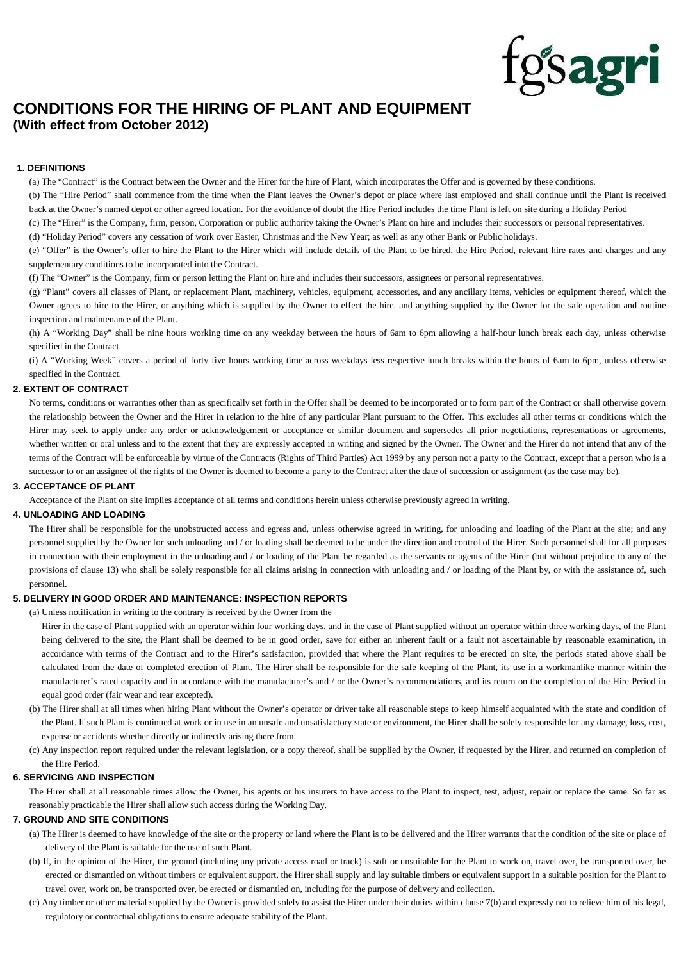

# **CONDITIONS FOR THE HIRING OF PLANT AND EQUIPMENT (With effect from October 2012)**

# **1. DEFINITIONS**

(a) The "Contract" is the Contract between the Owner and the Hirer for the hire of Plant, which incorporates the Offer and is governed by these conditions.

(b) The "Hire Period" shall commence from the time when the Plant leaves the Owner's depot or place where last employed and shall continue until the Plant is received back at the Owner's named depot or other agreed location. For the avoidance of doubt the Hire Period includes the time Plant is left on site during a Holiday Period

(c) The "Hirer" is the Company, firm, person, Corporation or public authority taking the Owner's Plant on hire and includes their successors or personal representatives.

(d) "Holiday Period" covers any cessation of work over Easter, Christmas and the New Year; as well as any other Bank or Public holidays.

(e) "Offer" is the Owner's offer to hire the Plant to the Hirer which will include details of the Plant to be hired, the Hire Period, relevant hire rates and charges and any supplementary conditions to be incorporated into the Contract.

(f) The "Owner" is the Company, firm or person letting the Plant on hire and includes their successors, assignees or personal representatives.

(g) "Plant" covers all classes of Plant, or replacement Plant, machinery, vehicles, equipment, accessories, and any ancillary items, vehicles or equipment thereof, which the Owner agrees to hire to the Hirer, or anything which is supplied by the Owner to effect the hire, and anything supplied by the Owner for the safe operation and routine inspection and maintenance of the Plant.

(h) A "Working Day" shall be nine hours working time on any weekday between the hours of 6am to 6pm allowing a half-hour lunch break each day, unless otherwise specified in the Contract.

(i) A "Working Week" covers a period of forty five hours working time across weekdays less respective lunch breaks within the hours of 6am to 6pm, unless otherwise specified in the Contract.

#### **2. EXTENT OF CONTRACT**

No terms, conditions or warranties other than as specifically set forth in the Offer shall be deemed to be incorporated or to form part of the Contract or shall otherwise govern the relationship between the Owner and the Hirer in relation to the hire of any particular Plant pursuant to the Offer. This excludes all other terms or conditions which the Hirer may seek to apply under any order or acknowledgement or acceptance or similar document and supersedes all prior negotiations, representations or agreements, whether written or oral unless and to the extent that they are expressly accepted in writing and signed by the Owner. The Owner and the Hirer do not intend that any of the terms of the Contract will be enforceable by virtue of the Contracts (Rights of Third Parties) Act 1999 by any person not a party to the Contract, except that a person who is a successor to or an assignee of the rights of the Owner is deemed to become a party to the Contract after the date of succession or assignment (as the case may be).

#### **3. ACCEPTANCE OF PLANT**

Acceptance of the Plant on site implies acceptance of all terms and conditions herein unless otherwise previously agreed in writing.

# **4. UNLOADING AND LOADING**

The Hirer shall be responsible for the unobstructed access and egress and, unless otherwise agreed in writing, for unloading and loading of the Plant at the site; and any personnel supplied by the Owner for such unloading and / or loading shall be deemed to be under the direction and control of the Hirer. Such personnel shall for all purposes in connection with their employment in the unloading and / or loading of the Plant be regarded as the servants or agents of the Hirer (but without prejudice to any of the provisions of clause 13) who shall be solely responsible for all claims arising in connection with unloading and / or loading of the Plant by, or with the assistance of, such personnel.

#### **5. DELIVERY IN GOOD ORDER AND MAINTENANCE: INSPECTION REPORTS**

(a) Unless notification in writing to the contrary is received by the Owner from the

Hirer in the case of Plant supplied with an operator within four working days, and in the case of Plant supplied without an operator within three working days, of the Plant being delivered to the site, the Plant shall be deemed to be in good order, save for either an inherent fault or a fault not ascertainable by reasonable examination, in accordance with terms of the Contract and to the Hirer's satisfaction, provided that where the Plant requires to be erected on site, the periods stated above shall be calculated from the date of completed erection of Plant. The Hirer shall be responsible for the safe keeping of the Plant, its use in a workmanlike manner within the manufacturer's rated capacity and in accordance with the manufacturer's and / or the Owner's recommendations, and its return on the completion of the Hire Period in equal good order (fair wear and tear excepted).

- (b) The Hirer shall at all times when hiring Plant without the Owner's operator or driver take all reasonable steps to keep himself acquainted with the state and condition of the Plant. If such Plant is continued at work or in use in an unsafe and unsatisfactory state or environment, the Hirer shall be solely responsible for any damage, loss, cost, expense or accidents whether directly or indirectly arising there from.
- (c) Any inspection report required under the relevant legislation, or a copy thereof, shall be supplied by the Owner, if requested by the Hirer, and returned on completion of the Hire Period.

#### **6. SERVICING AND INSPECTION**

The Hirer shall at all reasonable times allow the Owner, his agents or his insurers to have access to the Plant to inspect, test, adjust, repair or replace the same. So far as reasonably practicable the Hirer shall allow such access during the Working Day.

# **7. GROUND AND SITE CONDITIONS**

- (a) The Hirer is deemed to have knowledge of the site or the property or land where the Plant is to be delivered and the Hirer warrants that the condition of the site or place of delivery of the Plant is suitable for the use of such Plant.
- (b) If, in the opinion of the Hirer, the ground (including any private access road or track) is soft or unsuitable for the Plant to work on, travel over, be transported over, be erected or dismantled on without timbers or equivalent support, the Hirer shall supply and lay suitable timbers or equivalent support in a suitable position for the Plant to travel over, work on, be transported over, be erected or dismantled on, including for the purpose of delivery and collection.
- (c) Any timber or other material supplied by the Owner is provided solely to assist the Hirer under their duties within clause 7(b) and expressly not to relieve him of his legal, regulatory or contractual obligations to ensure adequate stability of the Plant.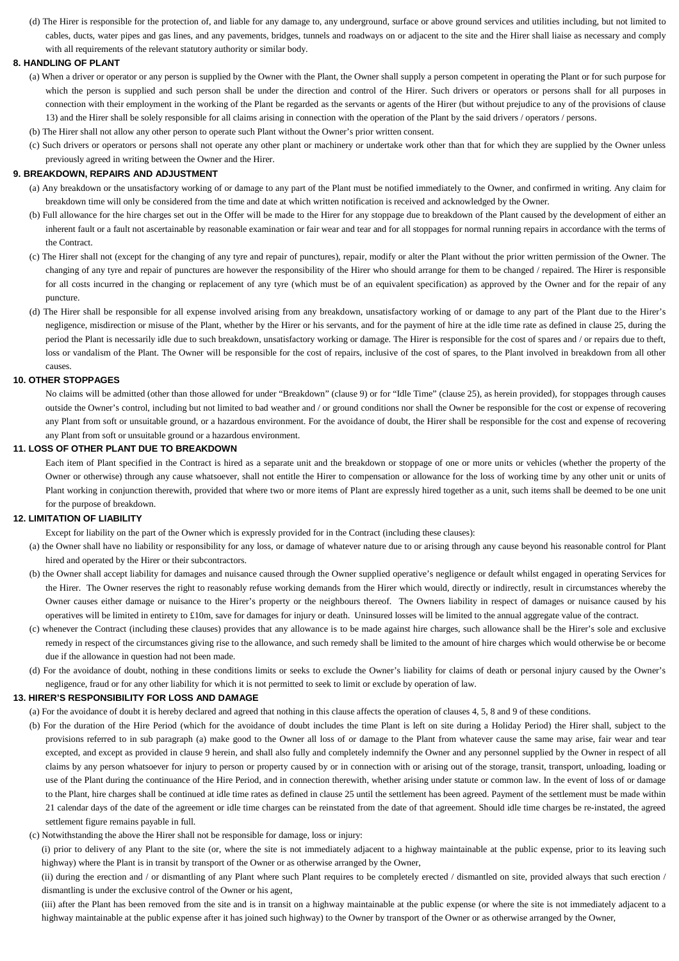(d) The Hirer is responsible for the protection of, and liable for any damage to, any underground, surface or above ground services and utilities including, but not limited to cables, ducts, water pipes and gas lines, and any pavements, bridges, tunnels and roadways on or adjacent to the site and the Hirer shall liaise as necessary and comply with all requirements of the relevant statutory authority or similar body.

#### **8. HANDLING OF PLANT**

- (a) When a driver or operator or any person is supplied by the Owner with the Plant, the Owner shall supply a person competent in operating the Plant or for such purpose for which the person is supplied and such person shall be under the direction and control of the Hirer. Such drivers or operators or persons shall for all purposes in connection with their employment in the working of the Plant be regarded as the servants or agents of the Hirer (but without prejudice to any of the provisions of clause 13) and the Hirer shall be solely responsible for all claims arising in connection with the operation of the Plant by the said drivers / operators / persons.
- (b) The Hirer shall not allow any other person to operate such Plant without the Owner's prior written consent.
- (c) Such drivers or operators or persons shall not operate any other plant or machinery or undertake work other than that for which they are supplied by the Owner unless previously agreed in writing between the Owner and the Hirer.

# **9. BREAKDOWN, REPAIRS AND ADJUSTMENT**

- (a) Any breakdown or the unsatisfactory working of or damage to any part of the Plant must be notified immediately to the Owner, and confirmed in writing. Any claim for breakdown time will only be considered from the time and date at which written notification is received and acknowledged by the Owner.
- (b) Full allowance for the hire charges set out in the Offer will be made to the Hirer for any stoppage due to breakdown of the Plant caused by the development of either an inherent fault or a fault not ascertainable by reasonable examination or fair wear and tear and for all stoppages for normal running repairs in accordance with the terms of the Contract.
- (c) The Hirer shall not (except for the changing of any tyre and repair of punctures), repair, modify or alter the Plant without the prior written permission of the Owner. The changing of any tyre and repair of punctures are however the responsibility of the Hirer who should arrange for them to be changed / repaired. The Hirer is responsible for all costs incurred in the changing or replacement of any tyre (which must be of an equivalent specification) as approved by the Owner and for the repair of any puncture.
- (d) The Hirer shall be responsible for all expense involved arising from any breakdown, unsatisfactory working of or damage to any part of the Plant due to the Hirer's negligence, misdirection or misuse of the Plant, whether by the Hirer or his servants, and for the payment of hire at the idle time rate as defined in clause 25, during the period the Plant is necessarily idle due to such breakdown, unsatisfactory working or damage. The Hirer is responsible for the cost of spares and / or repairs due to theft, loss or vandalism of the Plant. The Owner will be responsible for the cost of repairs, inclusive of the cost of spares, to the Plant involved in breakdown from all other causes.

# **10. OTHER STOPPAGES**

No claims will be admitted (other than those allowed for under "Breakdown" (clause 9) or for "Idle Time" (clause 25), as herein provided), for stoppages through causes outside the Owner's control, including but not limited to bad weather and / or ground conditions nor shall the Owner be responsible for the cost or expense of recovering any Plant from soft or unsuitable ground, or a hazardous environment. For the avoidance of doubt, the Hirer shall be responsible for the cost and expense of recovering any Plant from soft or unsuitable ground or a hazardous environment.

#### **11. LOSS OF OTHER PLANT DUE TO BREAKDOWN**

Each item of Plant specified in the Contract is hired as a separate unit and the breakdown or stoppage of one or more units or vehicles (whether the property of the Owner or otherwise) through any cause whatsoever, shall not entitle the Hirer to compensation or allowance for the loss of working time by any other unit or units of Plant working in conjunction therewith, provided that where two or more items of Plant are expressly hired together as a unit, such items shall be deemed to be one unit for the purpose of breakdown.

# **12. LIMITATION OF LIABILITY**

Except for liability on the part of the Owner which is expressly provided for in the Contract (including these clauses):

- (a) the Owner shall have no liability or responsibility for any loss, or damage of whatever nature due to or arising through any cause beyond his reasonable control for Plant hired and operated by the Hirer or their subcontractors.
- (b) the Owner shall accept liability for damages and nuisance caused through the Owner supplied operative's negligence or default whilst engaged in operating Services for the Hirer. The Owner reserves the right to reasonably refuse working demands from the Hirer which would, directly or indirectly, result in circumstances whereby the Owner causes either damage or nuisance to the Hirer's property or the neighbours thereof. The Owners liability in respect of damages or nuisance caused by his operatives will be limited in entirety to £10m, save for damages for injury or death. Uninsured losses will be limited to the annual aggregate value of the contract.
- (c) whenever the Contract (including these clauses) provides that any allowance is to be made against hire charges, such allowance shall be the Hirer's sole and exclusive remedy in respect of the circumstances giving rise to the allowance, and such remedy shall be limited to the amount of hire charges which would otherwise be or become due if the allowance in question had not been made.
- (d) For the avoidance of doubt, nothing in these conditions limits or seeks to exclude the Owner's liability for claims of death or personal injury caused by the Owner's negligence, fraud or for any other liability for which it is not permitted to seek to limit or exclude by operation of law.

#### **13. HIRER'S RESPONSIBILITY FOR LOSS AND DAMAGE**

(a) For the avoidance of doubt it is hereby declared and agreed that nothing in this clause affects the operation of clauses 4, 5, 8 and 9 of these conditions.

- (b) For the duration of the Hire Period (which for the avoidance of doubt includes the time Plant is left on site during a Holiday Period) the Hirer shall, subject to the provisions referred to in sub paragraph (a) make good to the Owner all loss of or damage to the Plant from whatever cause the same may arise, fair wear and tear excepted, and except as provided in clause 9 herein, and shall also fully and completely indemnify the Owner and any personnel supplied by the Owner in respect of all claims by any person whatsoever for injury to person or property caused by or in connection with or arising out of the storage, transit, transport, unloading, loading or use of the Plant during the continuance of the Hire Period, and in connection therewith, whether arising under statute or common law. In the event of loss of or damage to the Plant, hire charges shall be continued at idle time rates as defined in clause 25 until the settlement has been agreed. Payment of the settlement must be made within 21 calendar days of the date of the agreement or idle time charges can be reinstated from the date of that agreement. Should idle time charges be re-instated, the agreed settlement figure remains payable in full.
- (c) Notwithstanding the above the Hirer shall not be responsible for damage, loss or injury:
	- (i) prior to delivery of any Plant to the site (or, where the site is not immediately adjacent to a highway maintainable at the public expense, prior to its leaving such highway) where the Plant is in transit by transport of the Owner or as otherwise arranged by the Owner,

(ii) during the erection and / or dismantling of any Plant where such Plant requires to be completely erected / dismantled on site, provided always that such erection / dismantling is under the exclusive control of the Owner or his agent,

(iii) after the Plant has been removed from the site and is in transit on a highway maintainable at the public expense (or where the site is not immediately adjacent to a highway maintainable at the public expense after it has joined such highway) to the Owner by transport of the Owner or as otherwise arranged by the Owner,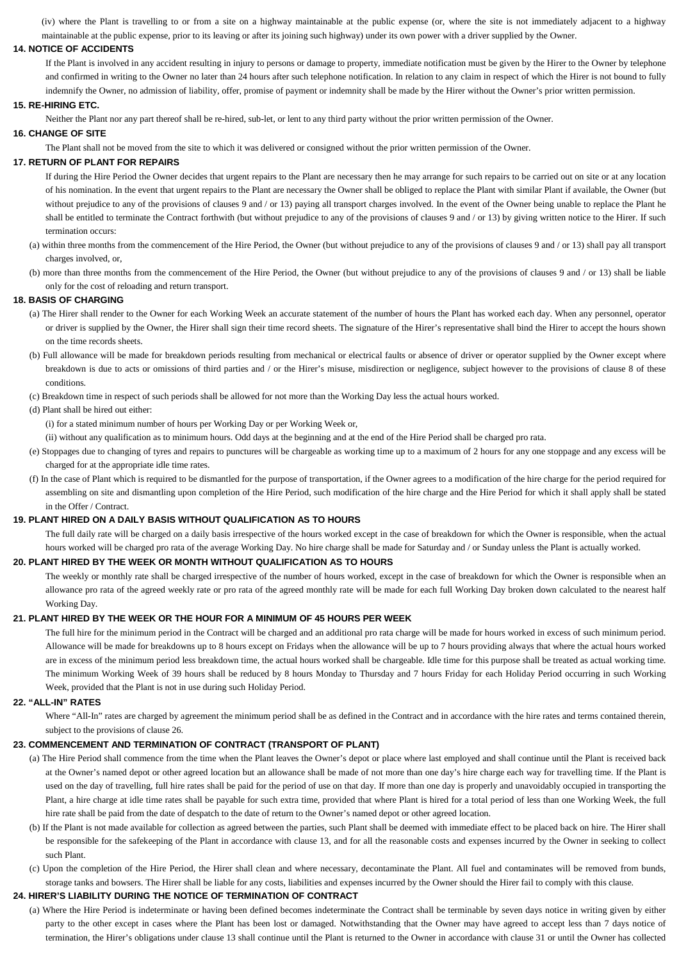(iv) where the Plant is travelling to or from a site on a highway maintainable at the public expense (or, where the site is not immediately adjacent to a highway maintainable at the public expense, prior to its leaving or after its joining such highway) under its own power with a driver supplied by the Owner.

#### **14. NOTICE OF ACCIDENTS**

If the Plant is involved in any accident resulting in injury to persons or damage to property, immediate notification must be given by the Hirer to the Owner by telephone and confirmed in writing to the Owner no later than 24 hours after such telephone notification. In relation to any claim in respect of which the Hirer is not bound to fully indemnify the Owner, no admission of liability, offer, promise of payment or indemnity shall be made by the Hirer without the Owner's prior written permission.

# **15. RE-HIRING ETC.**

Neither the Plant nor any part thereof shall be re-hired, sub-let, or lent to any third party without the prior written permission of the Owner.

## **16. CHANGE OF SITE**

The Plant shall not be moved from the site to which it was delivered or consigned without the prior written permission of the Owner.

## **17. RETURN OF PLANT FOR REPAIRS**

If during the Hire Period the Owner decides that urgent repairs to the Plant are necessary then he may arrange for such repairs to be carried out on site or at any location of his nomination. In the event that urgent repairs to the Plant are necessary the Owner shall be obliged to replace the Plant with similar Plant if available, the Owner (but without prejudice to any of the provisions of clauses 9 and / or 13) paying all transport charges involved. In the event of the Owner being unable to replace the Plant he shall be entitled to terminate the Contract forthwith (but without prejudice to any of the provisions of clauses 9 and / or 13) by giving written notice to the Hirer. If such termination occurs:

- (a) within three months from the commencement of the Hire Period, the Owner (but without prejudice to any of the provisions of clauses 9 and / or 13) shall pay all transport charges involved, or,
- (b) more than three months from the commencement of the Hire Period, the Owner (but without prejudice to any of the provisions of clauses 9 and / or 13) shall be liable only for the cost of reloading and return transport.

#### **18. BASIS OF CHARGING**

- (a) The Hirer shall render to the Owner for each Working Week an accurate statement of the number of hours the Plant has worked each day. When any personnel, operator or driver is supplied by the Owner, the Hirer shall sign their time record sheets. The signature of the Hirer's representative shall bind the Hirer to accept the hours shown on the time records sheets.
- (b) Full allowance will be made for breakdown periods resulting from mechanical or electrical faults or absence of driver or operator supplied by the Owner except where breakdown is due to acts or omissions of third parties and / or the Hirer's misuse, misdirection or negligence, subject however to the provisions of clause 8 of these conditions.
- (c) Breakdown time in respect of such periods shall be allowed for not more than the Working Day less the actual hours worked.

#### (d) Plant shall be hired out either:

(i) for a stated minimum number of hours per Working Day or per Working Week or,

(ii) without any qualification as to minimum hours. Odd days at the beginning and at the end of the Hire Period shall be charged pro rata.

- (e) Stoppages due to changing of tyres and repairs to punctures will be chargeable as working time up to a maximum of 2 hours for any one stoppage and any excess will be charged for at the appropriate idle time rates.
- (f) In the case of Plant which is required to be dismantled for the purpose of transportation, if the Owner agrees to a modification of the hire charge for the period required for assembling on site and dismantling upon completion of the Hire Period, such modification of the hire charge and the Hire Period for which it shall apply shall be stated in the Offer / Contract.

#### **19. PLANT HIRED ON A DAILY BASIS WITHOUT QUALIFICATION AS TO HOURS**

The full daily rate will be charged on a daily basis irrespective of the hours worked except in the case of breakdown for which the Owner is responsible, when the actual hours worked will be charged pro rata of the average Working Day. No hire charge shall be made for Saturday and / or Sunday unless the Plant is actually worked.

#### **20. PLANT HIRED BY THE WEEK OR MONTH WITHOUT QUALIFICATION AS TO HOURS**

The weekly or monthly rate shall be charged irrespective of the number of hours worked, except in the case of breakdown for which the Owner is responsible when an allowance pro rata of the agreed weekly rate or pro rata of the agreed monthly rate will be made for each full Working Day broken down calculated to the nearest half Working Day.

# **21. PLANT HIRED BY THE WEEK OR THE HOUR FOR A MINIMUM OF 45 HOURS PER WEEK**

The full hire for the minimum period in the Contract will be charged and an additional pro rata charge will be made for hours worked in excess of such minimum period. Allowance will be made for breakdowns up to 8 hours except on Fridays when the allowance will be up to 7 hours providing always that where the actual hours worked are in excess of the minimum period less breakdown time, the actual hours worked shall be chargeable. Idle time for this purpose shall be treated as actual working time. The minimum Working Week of 39 hours shall be reduced by 8 hours Monday to Thursday and 7 hours Friday for each Holiday Period occurring in such Working Week, provided that the Plant is not in use during such Holiday Period.

## **22. "ALL-IN" RATES**

Where "All-In" rates are charged by agreement the minimum period shall be as defined in the Contract and in accordance with the hire rates and terms contained therein, subject to the provisions of clause 26.

# **23. COMMENCEMENT AND TERMINATION OF CONTRACT (TRANSPORT OF PLANT)**

- (a) The Hire Period shall commence from the time when the Plant leaves the Owner's depot or place where last employed and shall continue until the Plant is received back at the Owner's named depot or other agreed location but an allowance shall be made of not more than one day's hire charge each way for travelling time. If the Plant is used on the day of travelling, full hire rates shall be paid for the period of use on that day. If more than one day is properly and unavoidably occupied in transporting the Plant, a hire charge at idle time rates shall be payable for such extra time, provided that where Plant is hired for a total period of less than one Working Week, the full hire rate shall be paid from the date of despatch to the date of return to the Owner's named depot or other agreed location.
- (b) If the Plant is not made available for collection as agreed between the parties, such Plant shall be deemed with immediate effect to be placed back on hire. The Hirer shall be responsible for the safekeeping of the Plant in accordance with clause 13, and for all the reasonable costs and expenses incurred by the Owner in seeking to collect such Plant.
- (c) Upon the completion of the Hire Period, the Hirer shall clean and where necessary, decontaminate the Plant. All fuel and contaminates will be removed from bunds, storage tanks and bowsers. The Hirer shall be liable for any costs, liabilities and expenses incurred by the Owner should the Hirer fail to comply with this clause.

# **24. HIRER'S LIABILITY DURING THE NOTICE OF TERMINATION OF CONTRACT**

(a) Where the Hire Period is indeterminate or having been defined becomes indeterminate the Contract shall be terminable by seven days notice in writing given by either party to the other except in cases where the Plant has been lost or damaged. Notwithstanding that the Owner may have agreed to accept less than 7 days notice of termination, the Hirer's obligations under clause 13 shall continue until the Plant is returned to the Owner in accordance with clause 31 or until the Owner has collected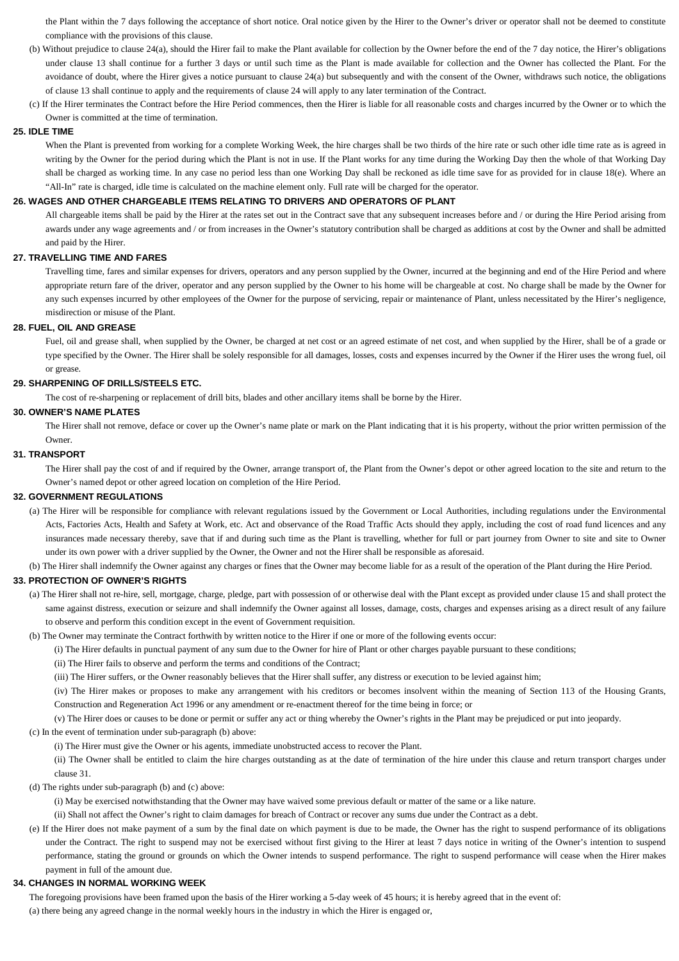the Plant within the 7 days following the acceptance of short notice. Oral notice given by the Hirer to the Owner's driver or operator shall not be deemed to constitute compliance with the provisions of this clause.

- (b) Without prejudice to clause 24(a), should the Hirer fail to make the Plant available for collection by the Owner before the end of the 7 day notice, the Hirer's obligations under clause 13 shall continue for a further 3 days or until such time as the Plant is made available for collection and the Owner has collected the Plant. For the avoidance of doubt, where the Hirer gives a notice pursuant to clause 24(a) but subsequently and with the consent of the Owner, withdraws such notice, the obligations of clause 13 shall continue to apply and the requirements of clause 24 will apply to any later termination of the Contract.
- (c) If the Hirer terminates the Contract before the Hire Period commences, then the Hirer is liable for all reasonable costs and charges incurred by the Owner or to which the Owner is committed at the time of termination.

# **25. IDLE TIME**

When the Plant is prevented from working for a complete Working Week, the hire charges shall be two thirds of the hire rate or such other idle time rate as is agreed in writing by the Owner for the period during which the Plant is not in use. If the Plant works for any time during the Working Day then the whole of that Working Day shall be charged as working time. In any case no period less than one Working Day shall be reckoned as idle time save for as provided for in clause 18(e). Where an "All-In" rate is charged, idle time is calculated on the machine element only. Full rate will be charged for the operator.

#### **26. WAGES AND OTHER CHARGEABLE ITEMS RELATING TO DRIVERS AND OPERATORS OF PLANT**

All chargeable items shall be paid by the Hirer at the rates set out in the Contract save that any subsequent increases before and / or during the Hire Period arising from awards under any wage agreements and / or from increases in the Owner's statutory contribution shall be charged as additions at cost by the Owner and shall be admitted and paid by the Hirer.

# **27. TRAVELLING TIME AND FARES**

Travelling time, fares and similar expenses for drivers, operators and any person supplied by the Owner, incurred at the beginning and end of the Hire Period and where appropriate return fare of the driver, operator and any person supplied by the Owner to his home will be chargeable at cost. No charge shall be made by the Owner for any such expenses incurred by other employees of the Owner for the purpose of servicing, repair or maintenance of Plant, unless necessitated by the Hirer's negligence, misdirection or misuse of the Plant.

# **28. FUEL, OIL AND GREASE**

Fuel, oil and grease shall, when supplied by the Owner, be charged at net cost or an agreed estimate of net cost, and when supplied by the Hirer, shall be of a grade or type specified by the Owner. The Hirer shall be solely responsible for all damages, losses, costs and expenses incurred by the Owner if the Hirer uses the wrong fuel, oil or grease.

#### **29. SHARPENING OF DRILLS/STEELS ETC.**

The cost of re-sharpening or replacement of drill bits, blades and other ancillary items shall be borne by the Hirer.

#### **30. OWNER'S NAME PLATES**

The Hirer shall not remove, deface or cover up the Owner's name plate or mark on the Plant indicating that it is his property, without the prior written permission of the Owner.

#### **31. TRANSPORT**

The Hirer shall pay the cost of and if required by the Owner, arrange transport of, the Plant from the Owner's depot or other agreed location to the site and return to the Owner's named depot or other agreed location on completion of the Hire Period.

#### **32. GOVERNMENT REGULATIONS**

(a) The Hirer will be responsible for compliance with relevant regulations issued by the Government or Local Authorities, including regulations under the Environmental Acts, Factories Acts, Health and Safety at Work, etc. Act and observance of the Road Traffic Acts should they apply, including the cost of road fund licences and any insurances made necessary thereby, save that if and during such time as the Plant is travelling, whether for full or part journey from Owner to site and site to Owner under its own power with a driver supplied by the Owner, the Owner and not the Hirer shall be responsible as aforesaid.

(b) The Hirer shall indemnify the Owner against any charges or fines that the Owner may become liable for as a result of the operation of the Plant during the Hire Period.

## **33. PROTECTION OF OWNER'S RIGHTS**

- (a) The Hirer shall not re-hire, sell, mortgage, charge, pledge, part with possession of or otherwise deal with the Plant except as provided under clause 15 and shall protect the same against distress, execution or seizure and shall indemnify the Owner against all losses, damage, costs, charges and expenses arising as a direct result of any failure to observe and perform this condition except in the event of Government requisition.
- (b) The Owner may terminate the Contract forthwith by written notice to the Hirer if one or more of the following events occur:
	- (i) The Hirer defaults in punctual payment of any sum due to the Owner for hire of Plant or other charges payable pursuant to these conditions;
	- (ii) The Hirer fails to observe and perform the terms and conditions of the Contract;
	- (iii) The Hirer suffers, or the Owner reasonably believes that the Hirer shall suffer, any distress or execution to be levied against him;

(iv) The Hirer makes or proposes to make any arrangement with his creditors or becomes insolvent within the meaning of Section 113 of the Housing Grants, Construction and Regeneration Act 1996 or any amendment or re-enactment thereof for the time being in force; or

(v) The Hirer does or causes to be done or permit or suffer any act or thing whereby the Owner's rights in the Plant may be prejudiced or put into jeopardy.

- (c) In the event of termination under sub-paragraph (b) above:
	- (i) The Hirer must give the Owner or his agents, immediate unobstructed access to recover the Plant.

(ii) The Owner shall be entitled to claim the hire charges outstanding as at the date of termination of the hire under this clause and return transport charges under clause 31.

(d) The rights under sub-paragraph (b) and (c) above:

(i) May be exercised notwithstanding that the Owner may have waived some previous default or matter of the same or a like nature.

(ii) Shall not affect the Owner's right to claim damages for breach of Contract or recover any sums due under the Contract as a debt.

(e) If the Hirer does not make payment of a sum by the final date on which payment is due to be made, the Owner has the right to suspend performance of its obligations under the Contract. The right to suspend may not be exercised without first giving to the Hirer at least 7 days notice in writing of the Owner's intention to suspend performance, stating the ground or grounds on which the Owner intends to suspend performance. The right to suspend performance will cease when the Hirer makes payment in full of the amount due.

# **34. CHANGES IN NORMAL WORKING WEEK**

The foregoing provisions have been framed upon the basis of the Hirer working a 5-day week of 45 hours; it is hereby agreed that in the event of: (a) there being any agreed change in the normal weekly hours in the industry in which the Hirer is engaged or,